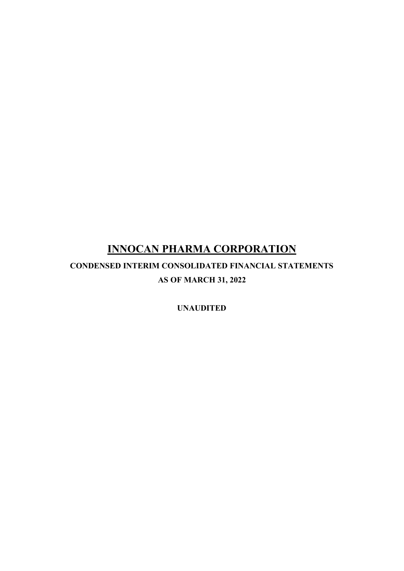**CONDENSED INTERIM CONSOLIDATED FINANCIAL STATEMENTS AS OF MARCH 31, 2022**

**UNAUDITED**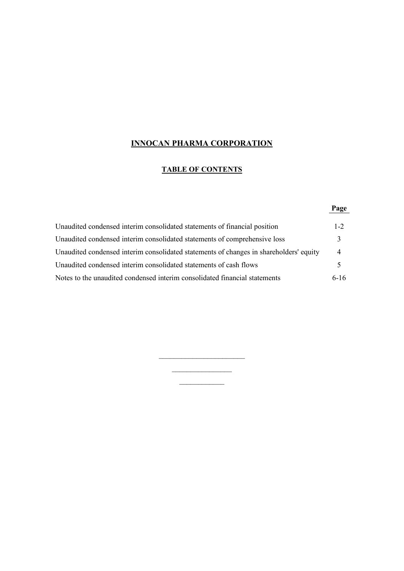## **TABLE OF CONTENTS**

## **Page**

| Unaudited condensed interim consolidated statements of financial position              | $1 - 2$        |
|----------------------------------------------------------------------------------------|----------------|
| Unaudited condensed interim consolidated statements of comprehensive loss              |                |
| Unaudited condensed interim consolidated statements of changes in shareholders' equity | $\overline{4}$ |
| Unaudited condensed interim consolidated statements of cash flows                      |                |
| Notes to the unaudited condensed interim consolidated financial statements             | $6-16$         |

 $\overline{\phantom{a}}$  , where  $\overline{\phantom{a}}$  $\frac{1}{2}$  $\frac{1}{2}$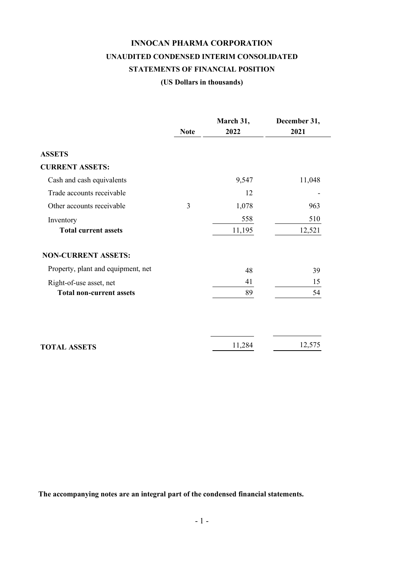# **INNOCAN PHARMA CORPORATION UNAUDITED CONDENSED INTERIM CONSOLIDATED STATEMENTS OF FINANCIAL POSITION**

## **(US Dollars in thousands)**

|                                    |             | March 31, | December 31, |
|------------------------------------|-------------|-----------|--------------|
|                                    | <b>Note</b> | 2022      | 2021         |
| <b>ASSETS</b>                      |             |           |              |
| <b>CURRENT ASSETS:</b>             |             |           |              |
| Cash and cash equivalents          |             | 9,547     | 11,048       |
| Trade accounts receivable          |             | 12        |              |
| Other accounts receivable          | 3           | 1,078     | 963          |
| Inventory                          |             | 558       | 510          |
| <b>Total current assets</b>        |             | 11,195    | 12,521       |
| <b>NON-CURRENT ASSETS:</b>         |             |           |              |
| Property, plant and equipment, net |             | 48        | 39           |
| Right-of-use asset, net            |             | 41        | 15           |
| <b>Total non-current assets</b>    |             | 89        | 54           |
|                                    |             |           | 12,575       |
| <b>TOTAL ASSETS</b>                |             | 11,284    |              |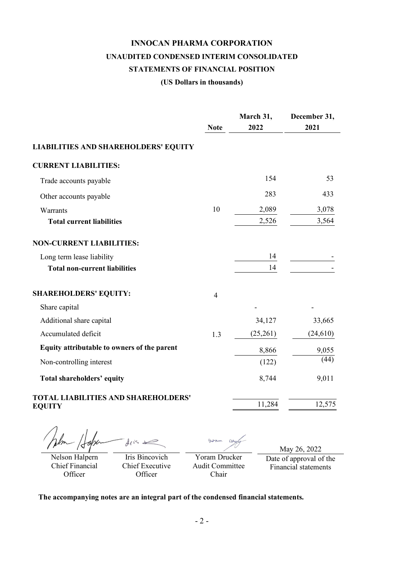# **INNOCAN PHARMA CORPORATION UNAUDITED CONDENSED INTERIM CONSOLIDATED STATEMENTS OF FINANCIAL POSITION**

#### **(US Dollars in thousands)**

|                                                             | <b>Note</b>    | March 31,<br>2022 | December 31,<br>2021 |
|-------------------------------------------------------------|----------------|-------------------|----------------------|
| <b>LIABILITIES AND SHAREHOLDERS' EQUITY</b>                 |                |                   |                      |
| <b>CURRENT LIABILITIES:</b>                                 |                |                   |                      |
| Trade accounts payable                                      |                | 154               | 53                   |
| Other accounts payable                                      |                | 283               | 433                  |
| Warrants                                                    | 10             | 2,089             | 3,078                |
| <b>Total current liabilities</b>                            |                | 2,526             | 3,564                |
| <b>NON-CURRENT LIABILITIES:</b>                             |                |                   |                      |
| Long term lease liability                                   |                | 14                |                      |
| <b>Total non-current liabilities</b>                        |                | 14                |                      |
| <b>SHAREHOLDERS' EQUITY:</b>                                | $\overline{4}$ |                   |                      |
| Share capital                                               |                |                   |                      |
| Additional share capital                                    |                | 34,127            | 33,665               |
| Accumulated deficit                                         | 1.3            | (25,261)          | (24, 610)            |
| Equity attributable to owners of the parent                 |                | 8,866             | 9,055                |
| Non-controlling interest                                    |                | (122)             | (44)                 |
| Total shareholders' equity                                  |                | 8,744             | 9,011                |
| <b>TOTAL LIABILITIES AND SHAREHOLDERS'</b><br><b>EQUITY</b> |                | 11,284            | 12,575               |
| $\blacksquare$                                              |                |                   |                      |

When Hope disse Nelson Halpern

Chief Financial **Officer** 

Iris Bincovich Chief Executive **Officer** 

Day  $602m$ Yoram Drucker

Audit Committee Chair

May 26, 2022 Date of approval of the Financial statements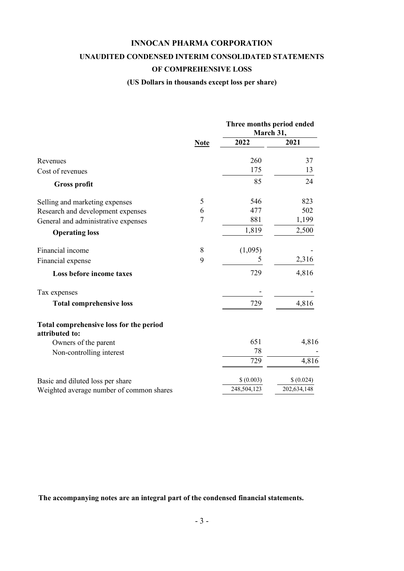#### **UNAUDITED CONDENSED INTERIM CONSOLIDATED STATEMENTS**

#### **OF COMPREHENSIVE LOSS**

#### **(US Dollars in thousands except loss per share)**

|                                                           |             |             | Three months period ended<br>March 31, |  |
|-----------------------------------------------------------|-------------|-------------|----------------------------------------|--|
|                                                           | <b>Note</b> | 2022        | 2021                                   |  |
| Revenues                                                  |             | 260         | 37                                     |  |
| Cost of revenues                                          |             | 175         | 13                                     |  |
| <b>Gross profit</b>                                       |             | 85          | 24                                     |  |
| Selling and marketing expenses                            | 5           | 546         | 823                                    |  |
| Research and development expenses                         | 6           | 477         | 502                                    |  |
| General and administrative expenses                       | 7           | 881         | 1,199                                  |  |
| <b>Operating loss</b>                                     |             | 1,819       | 2,500                                  |  |
| Financial income                                          | 8           | (1,095)     |                                        |  |
| Financial expense                                         | 9           | 5           | 2,316                                  |  |
| Loss before income taxes                                  |             | 729         | 4,816                                  |  |
| Tax expenses                                              |             |             |                                        |  |
| <b>Total comprehensive loss</b>                           |             | 729         | 4,816                                  |  |
| Total comprehensive loss for the period<br>attributed to: |             |             |                                        |  |
| Owners of the parent                                      |             | 651         | 4,816                                  |  |
| Non-controlling interest                                  |             | 78          |                                        |  |
|                                                           |             | 729         | 4,816                                  |  |
| Basic and diluted loss per share                          |             | \$ (0.003)  | \$ (0.024)                             |  |
| Weighted average number of common shares                  |             | 248,504,123 | 202,634,148                            |  |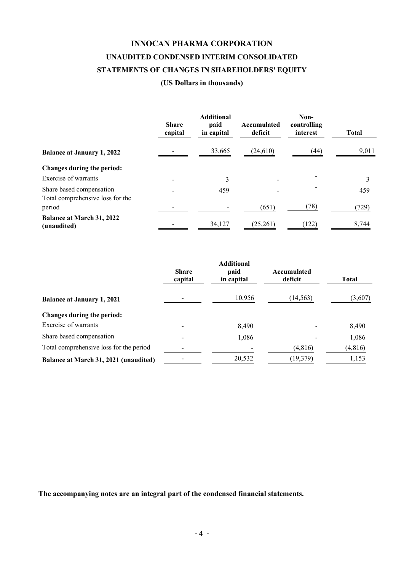## **INNOCAN PHARMA CORPORATION UNAUDITED CONDENSED INTERIM CONSOLIDATED STATEMENTS OF CHANGES IN SHAREHOLDERS' EQUITY**

#### **(US Dollars in thousands)**

|                                                              | <b>Share</b><br>capital | <b>Additional</b><br>paid<br>in capital | Accumulated<br>deficit | Non-<br>controlling<br>interest | <b>Total</b> |
|--------------------------------------------------------------|-------------------------|-----------------------------------------|------------------------|---------------------------------|--------------|
| <b>Balance at January 1, 2022</b>                            |                         | 33,665                                  | (24,610)               | (44)                            | 9,011        |
| Changes during the period:                                   |                         |                                         |                        |                                 |              |
| Exercise of warrants                                         |                         | 3                                       |                        |                                 |              |
| Share based compensation<br>Total comprehensive loss for the |                         | 459                                     |                        |                                 | 459          |
| period                                                       |                         |                                         | (651)                  | (78)                            | (729)        |
| <b>Balance at March 31, 2022</b><br>(unaudited)              |                         | 34,127                                  | (25,261)               | (122)                           | 8,744        |

|                                         | <b>Share</b><br>capital | <b>Additional</b><br>paid<br>in capital | Accumulated<br>deficit | Total    |
|-----------------------------------------|-------------------------|-----------------------------------------|------------------------|----------|
| <b>Balance at January 1, 2021</b>       |                         | 10,956                                  | (14, 563)              | (3,607)  |
| Changes during the period:              |                         |                                         |                        |          |
| Exercise of warrants                    |                         | 8,490                                   |                        | 8,490    |
| Share based compensation                |                         | 1,086                                   |                        | 1,086    |
| Total comprehensive loss for the period |                         |                                         | (4,816)                | (4, 816) |
| Balance at March 31, 2021 (unaudited)   |                         | 20,532                                  | (19, 379)              | 1,153    |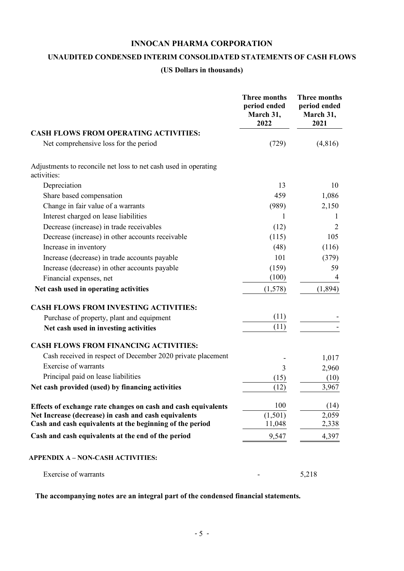### **UNAUDITED CONDENSED INTERIM CONSOLIDATED STATEMENTS OF CASH FLOWS**

#### **(US Dollars in thousands)**

|                                                                                | <b>Three months</b><br>period ended<br>March 31,<br>2022 | <b>Three months</b><br>period ended<br>March 31,<br>2021 |
|--------------------------------------------------------------------------------|----------------------------------------------------------|----------------------------------------------------------|
| <b>CASH FLOWS FROM OPERATING ACTIVITIES:</b>                                   |                                                          |                                                          |
| Net comprehensive loss for the period                                          | (729)                                                    | (4,816)                                                  |
| Adjustments to reconcile net loss to net cash used in operating<br>activities: |                                                          |                                                          |
| Depreciation                                                                   | 13                                                       | 10                                                       |
| Share based compensation                                                       | 459                                                      | 1,086                                                    |
| Change in fair value of a warrants                                             | (989)                                                    | 2,150                                                    |
| Interest charged on lease liabilities                                          | 1                                                        | 1                                                        |
| Decrease (increase) in trade receivables                                       | (12)                                                     | 2                                                        |
| Decrease (increase) in other accounts receivable                               | (115)                                                    | 105                                                      |
| Increase in inventory                                                          | (48)                                                     | (116)                                                    |
| Increase (decrease) in trade accounts payable                                  | 101                                                      | (379)                                                    |
| Increase (decrease) in other accounts payable                                  | (159)                                                    | 59                                                       |
| Financial expenses, net                                                        | (100)                                                    | 4                                                        |
| Net cash used in operating activities                                          | (1,578)                                                  | (1,894)                                                  |
| <b>CASH FLOWS FROM INVESTING ACTIVITIES:</b>                                   |                                                          |                                                          |
| Purchase of property, plant and equipment                                      | (11)                                                     |                                                          |
| Net cash used in investing activities                                          | (11)                                                     |                                                          |
| <b>CASH FLOWS FROM FINANCING ACTIVITIES:</b>                                   |                                                          |                                                          |
| Cash received in respect of December 2020 private placement                    |                                                          | 1,017                                                    |
| <b>Exercise of warrants</b>                                                    | 3                                                        | 2,960                                                    |
| Principal paid on lease liabilities                                            | (15)                                                     | (10)                                                     |
| Net cash provided (used) by financing activities                               | (12)                                                     | 3,967                                                    |
| Effects of exchange rate changes on cash and cash equivalents                  | 100                                                      | (14)                                                     |
| Net Increase (decrease) in cash and cash equivalents                           | (1,501)                                                  | 2,059                                                    |
| Cash and cash equivalents at the beginning of the period                       | 11,048                                                   | 2,338                                                    |
| Cash and cash equivalents at the end of the period                             | 9,547                                                    | 4,397                                                    |
| <b>APPENDIX A – NON-CASH ACTIVITIES:</b>                                       |                                                          |                                                          |
| Exercise of warrants                                                           |                                                          | 5,218                                                    |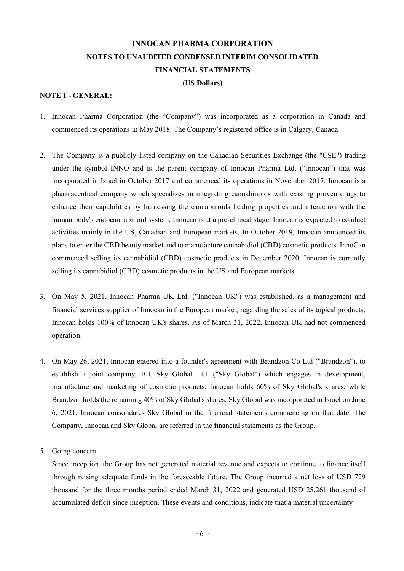#### **(US Dollars)**

#### **NOTE 1 - GENERAL:**

- 1. Innocan Pharma Corporation (the "Company") was incorporated as a corporation in Canada and commenced its operations in May 2018. The Company's registered office is in Calgary, Canada.
- 2. The Company is a publicly listed company on the Canadian Securities Exchange (the "CSE") trading under the symbol INNO and is the parent company of Innocan Pharma Ltd. ("Innocan") that was incorporated in Israel in October 2017 and commenced its operations in November 2017. Innocan is a pharmaceutical company which specializes in integrating cannabinoids with existing proven drugs to enhance their capabilities by harnessing the cannabinoids healing properties and interaction with the human body's endocannabinoid system. Innocan is at a pre-clinical stage. Innocan is expected to conduct activities mainly in the US, Canadian and European markets. In October 2019, Innocan announced its plans to enter the CBD beauty market and to manufacture cannabidiol (CBD) cosmetic products. InnoCan commenced selling its cannabidiol (CBD) cosmetic products in December 2020. Innocan is currently selling its cannabidiol (CBD) cosmetic products in the US and European markets.
- 3. On May 5, 2021, Innocan Pharma UK Ltd. ("Innocan UK") was established, as a management and financial services supplier of Innocan in the European market, regarding the sales of its topical products. Innocan holds 100% of Innocan UK's shares. As of March 31, 2022, Innocan UK had not commenced operation.
- 4. On May 26, 2021, Innocan entered into a founder's agreement with Brandzon Co Ltd ("Brandzon"), to establish a joint company, B.I. Sky Global Ltd. ("Sky Global") which engages in development, manufacture and marketing of cosmetic products. Innocan holds 60% of Sky Global's shares, while Brandzon holds the remaining 40% of Sky Global's shares. Sky Global was incorporated in Israel on June 6, 2021, Innocan consolidates Sky Global in the financial statements commencing on that date. The Company, Innocan and Sky Global are referred in the financial statements as the Group.

#### 5. Going concern

Since inception, the Group has not generated material revenue and expects to continue to finance itself through raising adequate funds in the foreseeable future. The Group incurred a net loss of USD 729 thousand for the three months period ended March 31, 2022 and generated USD 25,261 thousand of accumulated deficit since inception. These events and conditions, indicate that a material uncertainty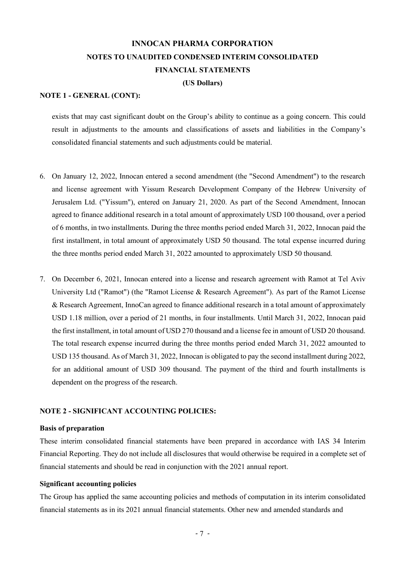#### **(US Dollars)**

#### **NOTE 1 - GENERAL (CONT):**

exists that may cast significant doubt on the Group's ability to continue as a going concern. This could result in adjustments to the amounts and classifications of assets and liabilities in the Company's consolidated financial statements and such adjustments could be material.

- 6. On January 12, 2022, Innocan entered a second amendment (the "Second Amendment") to the research and license agreement with Yissum Research Development Company of the Hebrew University of Jerusalem Ltd. ("Yissum"), entered on January 21, 2020. As part of the Second Amendment, Innocan agreed to finance additional research in a total amount of approximately USD 100 thousand, over a period of 6 months, in two installments. During the three months period ended March 31, 2022, Innocan paid the first installment, in total amount of approximately USD 50 thousand. The total expense incurred during the three months period ended March 31, 2022 amounted to approximately USD 50 thousand.
- 7. On December 6, 2021, Innocan entered into a license and research agreement with Ramot at Tel Aviv University Ltd ("Ramot") (the "Ramot License & Research Agreement"). As part of the Ramot License & Research Agreement, InnoCan agreed to finance additional research in a total amount of approximately USD 1.18 million, over a period of 21 months, in four installments. Until March 31, 2022, Innocan paid the first installment, in total amount of USD 270 thousand and a license fee in amount of USD 20 thousand. The total research expense incurred during the three months period ended March 31, 2022 amounted to USD 135 thousand. As of March 31, 2022, Innocan is obligated to pay the second installment during 2022, for an additional amount of USD 309 thousand. The payment of the third and fourth installments is dependent on the progress of the research.

#### **NOTE 2 - SIGNIFICANT ACCOUNTING POLICIES:**

#### **Basis of preparation**

These interim consolidated financial statements have been prepared in accordance with IAS 34 Interim Financial Reporting. They do not include all disclosures that would otherwise be required in a complete set of financial statements and should be read in conjunction with the 2021 annual report.

#### **Significant accounting policies**

The Group has applied the same accounting policies and methods of computation in its interim consolidated financial statements as in its 2021 annual financial statements. Other new and amended standards and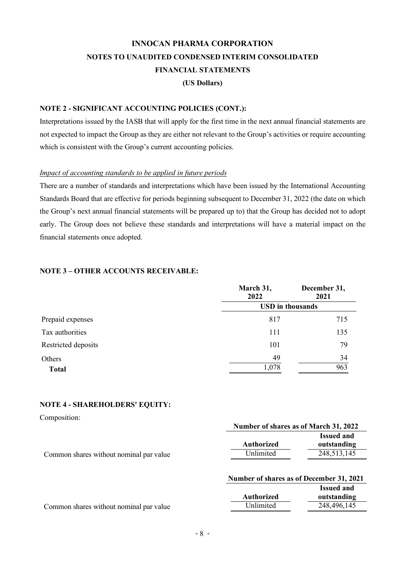#### **NOTE 2 - SIGNIFICANT ACCOUNTING POLICIES (CONT.):**

Interpretations issued by the IASB that will apply for the first time in the next annual financial statements are not expected to impact the Group as they are either not relevant to the Group's activities or require accounting which is consistent with the Group's current accounting policies.

#### *Impact of accounting standards to be applied in future periods*

There are a number of standards and interpretations which have been issued by the International Accounting Standards Board that are effective for periods beginning subsequent to December 31, 2022 (the date on which the Group's next annual financial statements will be prepared up to) that the Group has decided not to adopt early. The Group does not believe these standards and interpretations will have a material impact on the financial statements once adopted.

#### **NOTE 3 – OTHER ACCOUNTS RECEIVABLE:**

|                        | March 31,<br>2022       | December 31,<br>2021 |  |  |
|------------------------|-------------------------|----------------------|--|--|
|                        | <b>USD</b> in thousands |                      |  |  |
| Prepaid expenses       | 817                     | 715                  |  |  |
| Tax authorities        | 111                     | 135                  |  |  |
| Restricted deposits    | 101                     | 79                   |  |  |
| Others<br><b>Total</b> | 49<br>1,078             | 34<br>963            |  |  |

#### **NOTE 4 - SHAREHOLDERS' EQUITY:**

| Composition:                            | Number of shares as of March 31, 2022    |                                                 |
|-----------------------------------------|------------------------------------------|-------------------------------------------------|
| Common shares without nominal par value | <b>Authorized</b><br>Unlimited           | <b>Issued and</b><br>outstanding<br>248,513,145 |
|                                         | Number of shares as of December 31, 2021 |                                                 |

|                                         |            | <b>Issued and</b> |
|-----------------------------------------|------------|-------------------|
|                                         | Authorized | outstanding       |
| Common shares without nominal par value | Unlimited  | 248,496,145       |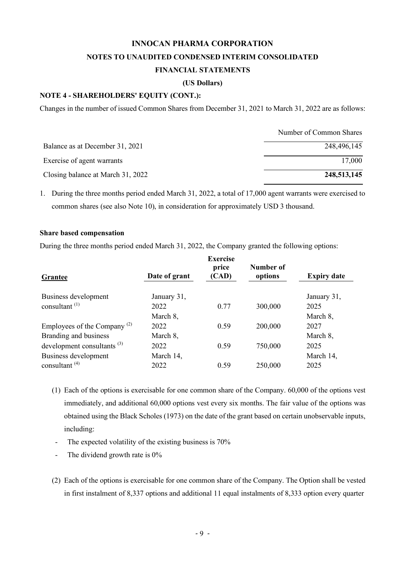#### **(US Dollars)**

#### **NOTE 4 - SHAREHOLDERS' EQUITY (CONT.):**

Changes in the number of issued Common Shares from December 31, 2021 to March 31, 2022 are as follows:

|                                   | Number of Common Shares |
|-----------------------------------|-------------------------|
| Balance as at December 31, 2021   | 248,496,145             |
| Exercise of agent warrants        | 17,000                  |
| Closing balance at March 31, 2022 | 248,513,145             |

1. During the three months period ended March 31, 2022, a total of 17,000 agent warrants were exercised to common shares (see also Note 10), in consideration for approximately USD 3 thousand.

#### **Share based compensation**

During the three months period ended March 31, 2022, the Company granted the following options:

| Grantee                                 | Date of grant | <b>Exercise</b><br>price<br>(CAD) | Number of<br>options | <b>Expiry date</b> |
|-----------------------------------------|---------------|-----------------------------------|----------------------|--------------------|
| Business development                    | January 31,   |                                   |                      | January 31,        |
| consultant $^{(1)}$                     | 2022          | 0.77                              | 300,000              | 2025               |
|                                         | March 8,      |                                   |                      | March 8,           |
| Employees of the Company <sup>(2)</sup> | 2022          | 0.59                              | 200,000              | 2027               |
| Branding and business                   | March 8,      |                                   |                      | March 8,           |
| development consultants $^{(3)}$        | 2022          | 0.59                              | 750,000              | 2025               |
| Business development                    | March 14,     |                                   |                      | March 14,          |
| consultant $(4)$                        | 2022          | 0.59                              | 250,000              | 2025               |

- (1) Each of the options is exercisable for one common share of the Company. 60,000 of the options vest immediately, and additional 60,000 options vest every six months. The fair value of the options was obtained using the Black Scholes (1973) on the date of the grant based on certain unobservable inputs, including:
	- The expected volatility of the existing business is  $70\%$
- The dividend growth rate is 0%
- (2) Each of the options is exercisable for one common share of the Company. The Option shall be vested in first instalment of 8,337 options and additional 11 equal instalments of 8,333 option every quarter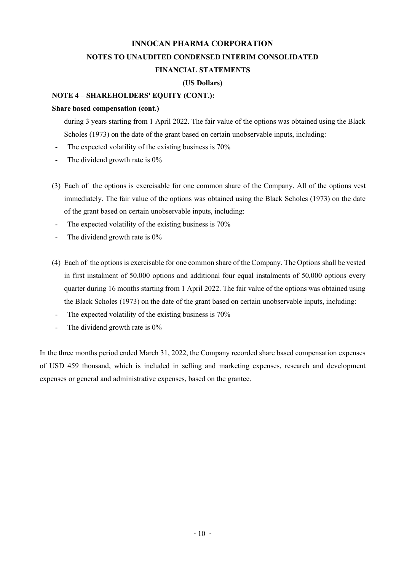#### **(US Dollars)**

#### **NOTE 4 – SHAREHOLDERS' EQUITY (CONT.):**

#### **Share based compensation (cont.)**

during 3 years starting from 1 April 2022. The fair value of the options was obtained using the Black Scholes (1973) on the date of the grant based on certain unobservable inputs, including:

- The expected volatility of the existing business is  $70\%$
- The dividend growth rate is  $0\%$
- (3) Each of the options is exercisable for one common share of the Company. All of the options vest immediately. The fair value of the options was obtained using the Black Scholes (1973) on the date of the grant based on certain unobservable inputs, including:
- The expected volatility of the existing business is  $70\%$
- The dividend growth rate is  $0\%$
- (4) Each of the options is exercisable for one common share of the Company. The Options shall be vested in first instalment of 50,000 options and additional four equal instalments of 50,000 options every quarter during 16 months starting from 1 April 2022. The fair value of the options was obtained using the Black Scholes (1973) on the date of the grant based on certain unobservable inputs, including:
	- The expected volatility of the existing business is  $70\%$
	- The dividend growth rate is  $0\%$

In the three months period ended March 31, 2022, the Company recorded share based compensation expenses of USD 459 thousand, which is included in selling and marketing expenses, research and development expenses or general and administrative expenses, based on the grantee.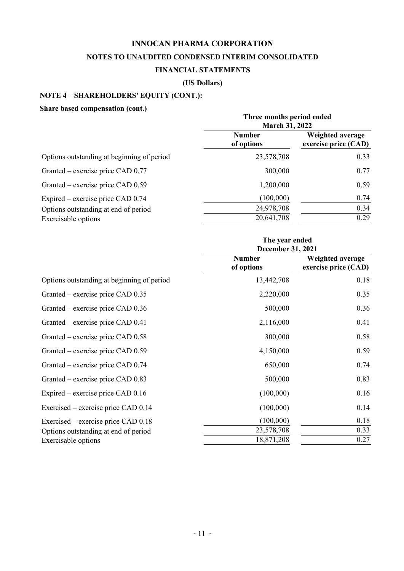### **NOTES TO UNAUDITED CONDENSED INTERIM CONSOLIDATED**

### **FINANCIAL STATEMENTS**

#### **(US Dollars)**

## **NOTE 4 – SHAREHOLDERS' EQUITY (CONT.):**

### **Share based compensation (cont.)**

| энагс разса сошрензацон (соне;)            | Three months period ended<br><b>March 31, 2022</b> |                                          |
|--------------------------------------------|----------------------------------------------------|------------------------------------------|
|                                            | <b>Number</b><br>of options                        | Weighted average<br>exercise price (CAD) |
| Options outstanding at beginning of period | 23,578,708                                         | 0.33                                     |
| Granted – exercise price CAD 0.77          | 300,000                                            | 0.77                                     |
| Granted – exercise price CAD 0.59          | 1,200,000                                          | 0.59                                     |
| Expired – exercise price CAD 0.74          | (100,000)                                          | 0.74                                     |
| Options outstanding at end of period       | 24,978,708                                         | 0.34                                     |
| Exercisable options                        | 20,641,708                                         | 0.29                                     |

|                                            | The year ended<br><b>December 31, 2021</b> |                                          |
|--------------------------------------------|--------------------------------------------|------------------------------------------|
|                                            | <b>Number</b><br>of options                | Weighted average<br>exercise price (CAD) |
| Options outstanding at beginning of period | 13,442,708                                 | 0.18                                     |
| Granted – exercise price CAD 0.35          | 2,220,000                                  | 0.35                                     |
| Granted – exercise price CAD 0.36          | 500,000                                    | 0.36                                     |
| Granted – exercise price CAD 0.41          | 2,116,000                                  | 0.41                                     |
| Granted – exercise price CAD 0.58          | 300,000                                    | 0.58                                     |
| Granted – exercise price CAD 0.59          | 4,150,000                                  | 0.59                                     |
| Granted – exercise price CAD 0.74          | 650,000                                    | 0.74                                     |
| Granted – exercise price CAD 0.83          | 500,000                                    | 0.83                                     |
| Expired – exercise price $CAD$ 0.16        | (100,000)                                  | 0.16                                     |
| Exercised – exercise price CAD 0.14        | (100,000)                                  | 0.14                                     |
| Exercised – exercise price CAD 0.18        | (100,000)                                  | 0.18                                     |
| Options outstanding at end of period       | 23,578,708                                 | 0.33                                     |
| Exercisable options                        | 18,871,208                                 | 0.27                                     |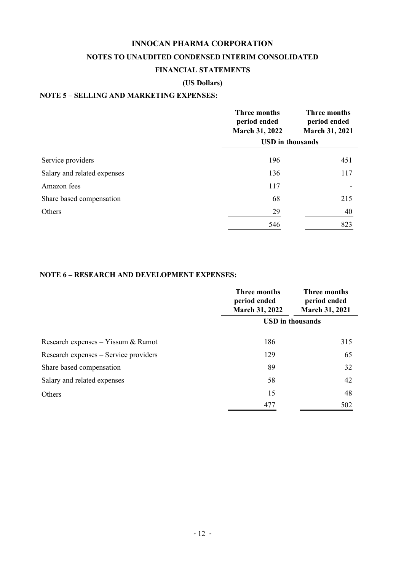## **INNOCAN PHARMA CORPORATION NOTES TO UNAUDITED CONDENSED INTERIM CONSOLIDATED**

#### **FINANCIAL STATEMENTS**

### **(US Dollars)**

### **NOTE 5 – SELLING AND MARKETING EXPENSES:**

|                             | Three months<br>period ended<br><b>March 31, 2022</b> | Three months<br>period ended<br><b>March 31, 2021</b> |  |
|-----------------------------|-------------------------------------------------------|-------------------------------------------------------|--|
|                             | <b>USD</b> in thousands                               |                                                       |  |
| Service providers           | 196                                                   | 451                                                   |  |
| Salary and related expenses | 136                                                   | 117                                                   |  |
| Amazon fees                 | 117                                                   |                                                       |  |
| Share based compensation    | 68                                                    | 215                                                   |  |
| Others                      | 29                                                    | 40                                                    |  |
|                             | 546                                                   | 823                                                   |  |

#### **NOTE 6 – RESEARCH AND DEVELOPMENT EXPENSES:**

|                                       | Three months<br>period ended<br><b>March 31, 2022</b> | Three months<br>period ended<br><b>March 31, 2021</b> |  |
|---------------------------------------|-------------------------------------------------------|-------------------------------------------------------|--|
|                                       | <b>USD</b> in thousands                               |                                                       |  |
| Research expenses – Yissum $\&$ Ramot | 186                                                   | 315                                                   |  |
| Research expenses - Service providers | 129                                                   | 65                                                    |  |
| Share based compensation              | 89                                                    | 32                                                    |  |
| Salary and related expenses           | 58                                                    | 42                                                    |  |
| Others                                | 15                                                    | 48                                                    |  |
|                                       | 477                                                   | 502                                                   |  |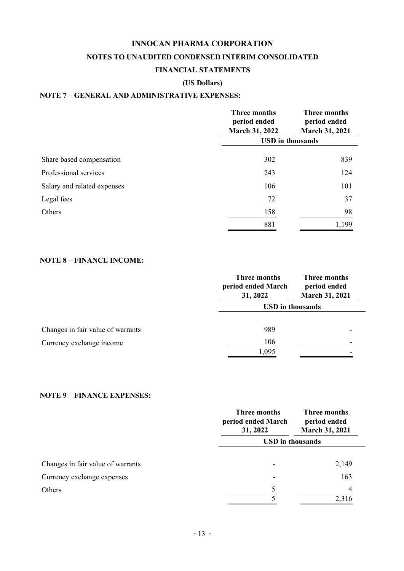### **NOTES TO UNAUDITED CONDENSED INTERIM CONSOLIDATED**

#### **FINANCIAL STATEMENTS**

### **(US Dollars)**

### **NOTE 7 – GENERAL AND ADMINISTRATIVE EXPENSES:**

|                             | Three months<br>period ended<br><b>March 31, 2022</b> | Three months<br>period ended<br><b>March 31, 2021</b> |  |
|-----------------------------|-------------------------------------------------------|-------------------------------------------------------|--|
|                             |                                                       | <b>USD</b> in thousands                               |  |
| Share based compensation    | 302                                                   | 839                                                   |  |
| Professional services       | 243                                                   | 124                                                   |  |
| Salary and related expenses | 106                                                   | 101                                                   |  |
| Legal fees                  | 72                                                    | 37                                                    |  |
| Others                      | 158                                                   | 98                                                    |  |
|                             | 881                                                   | 1,199                                                 |  |

### **NOTE 8 – FINANCE INCOME:**

|                                   | Three months<br>period ended March<br>31, 2022 | Three months<br>period ended<br>March 31, 2021 |  |
|-----------------------------------|------------------------------------------------|------------------------------------------------|--|
|                                   | <b>USD</b> in thousands                        |                                                |  |
| Changes in fair value of warrants | 989                                            |                                                |  |
| Currency exchange income          | 106                                            |                                                |  |
|                                   | 1,095                                          |                                                |  |

#### **NOTE 9 – FINANCE EXPENSES:**

|                                   | Three months<br>period ended March<br>31, 2022 | Three months<br>period ended<br>March 31, 2021 |  |
|-----------------------------------|------------------------------------------------|------------------------------------------------|--|
|                                   | <b>USD</b> in thousands                        |                                                |  |
| Changes in fair value of warrants |                                                | 2,149                                          |  |
| Currency exchange expenses        |                                                | 163                                            |  |
| Others                            | 5                                              | 4                                              |  |
|                                   |                                                | 2,316                                          |  |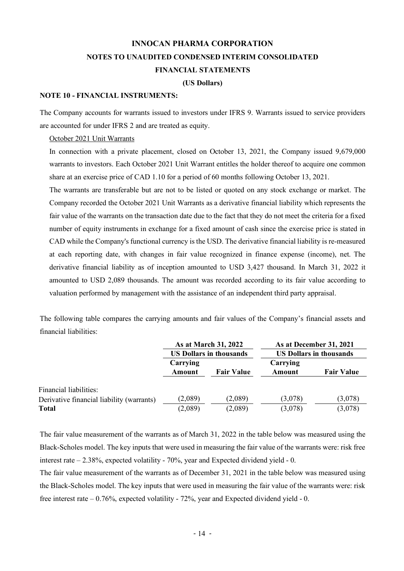#### **(US Dollars)**

#### **NOTE 10 - FINANCIAL INSTRUMENTS:**

The Company accounts for warrants issued to investors under IFRS 9. Warrants issued to service providers are accounted for under IFRS 2 and are treated as equity.

October 2021 Unit Warrants

In connection with a private placement, closed on October 13, 2021, the Company issued 9,679,000 warrants to investors. Each October 2021 Unit Warrant entitles the holder thereof to acquire one common share at an exercise price of CAD 1.10 for a period of 60 months following October 13, 2021.

The warrants are transferable but are not to be listed or quoted on any stock exchange or market. The Company recorded the October 2021 Unit Warrants as a derivative financial liability which represents the fair value of the warrants on the transaction date due to the fact that they do not meet the criteria for a fixed number of equity instruments in exchange for a fixed amount of cash since the exercise price is stated in CAD while the Company's functional currency is the USD. The derivative financial liability is re-measured at each reporting date, with changes in fair value recognized in finance expense (income), net. The derivative financial liability as of inception amounted to USD 3,427 thousand. In March 31, 2022 it amounted to USD 2,089 thousands. The amount was recorded according to its fair value according to valuation performed by management with the assistance of an independent third party appraisal.

The following table compares the carrying amounts and fair values of the Company's financial assets and financial liabilities:

|                                           | As at March 31, 2022<br><b>US Dollars in thousands</b> |                   | As at December 31, 2021<br><b>US Dollars in thousands</b> |                   |
|-------------------------------------------|--------------------------------------------------------|-------------------|-----------------------------------------------------------|-------------------|
|                                           |                                                        |                   |                                                           |                   |
|                                           | Carrying<br>Amount                                     | <b>Fair Value</b> | Carrying<br>Amount                                        | <b>Fair Value</b> |
| Financial liabilities:                    |                                                        |                   |                                                           |                   |
| Derivative financial liability (warrants) | (2,089)                                                | (2,089)           | (3,078)                                                   | (3,078)           |
| <b>Total</b>                              | (2,089)                                                | (2,089)           | (3,078)                                                   | (3,078)           |

The fair value measurement of the warrants as of March 31, 2022 in the table below was measured using the Black-Scholes model. The key inputs that were used in measuring the fair value of the warrants were: risk free interest rate – 2.38%, expected volatility - 70%, year and Expected dividend yield - 0.

The fair value measurement of the warrants as of December 31, 2021 in the table below was measured using the Black-Scholes model. The key inputs that were used in measuring the fair value of the warrants were: risk free interest rate – 0.76%, expected volatility - 72%, year and Expected dividend yield - 0.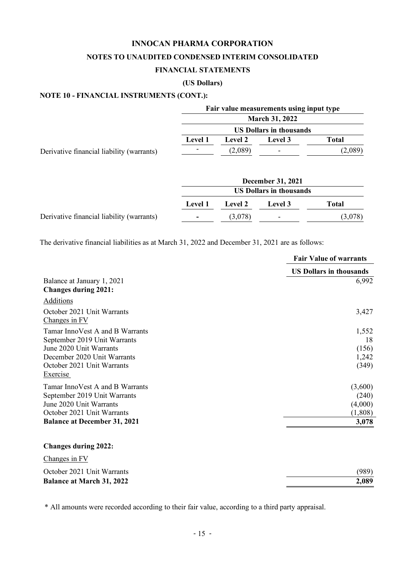#### **(US Dollars)**

## **NOTE 10 - FINANCIAL INSTRUMENTS (CONT.):**

|                                           |                |                | Fair value measurements using input type |              |
|-------------------------------------------|----------------|----------------|------------------------------------------|--------------|
|                                           |                |                | <b>March 31, 2022</b>                    |              |
|                                           |                |                | <b>US Dollars in thousands</b>           |              |
|                                           | <b>Level 1</b> | <b>Level 2</b> | Level 3                                  | <b>Total</b> |
| Derivative financial liability (warrants) |                | (2,089)        |                                          | (2,089)      |
|                                           |                |                | <b>December 31, 2021</b>                 |              |
|                                           |                |                | <b>US Dollars in thousands</b>           |              |
|                                           | <b>Level 1</b> | <b>Level 2</b> | Level 3                                  | <b>Total</b> |
| Derivative financial liability (warrants) |                | (3,078)        |                                          | (3,078)      |

The derivative financial liabilities as at March 31, 2022 and December 31, 2021 are as follows:

|                                                                                                                                                                     | <b>Fair Value of warrants</b>                   |
|---------------------------------------------------------------------------------------------------------------------------------------------------------------------|-------------------------------------------------|
|                                                                                                                                                                     | <b>US Dollars in thousands</b>                  |
| Balance at January 1, 2021<br><b>Changes during 2021:</b>                                                                                                           | 6,992                                           |
| Additions                                                                                                                                                           |                                                 |
| October 2021 Unit Warrants<br>Changes in FV                                                                                                                         | 3,427                                           |
| Tamar InnoVest A and B Warrants<br>September 2019 Unit Warrants<br>June 2020 Unit Warrants<br>December 2020 Unit Warrants<br>October 2021 Unit Warrants<br>Exercise | 1,552<br>18<br>(156)<br>1,242<br>(349)          |
| Tamar InnoVest A and B Warrants<br>September 2019 Unit Warrants<br>June 2020 Unit Warrants<br>October 2021 Unit Warrants<br><b>Balance at December 31, 2021</b>     | (3,600)<br>(240)<br>(4,000)<br>(1,808)<br>3,078 |
| <b>Changes during 2022:</b>                                                                                                                                         |                                                 |
| Changes in FV                                                                                                                                                       |                                                 |
| October 2021 Unit Warrants                                                                                                                                          | (989)                                           |

**Balance at March 31, 2022 2,089**

\* All amounts were recorded according to their fair value, according to a third party appraisal.